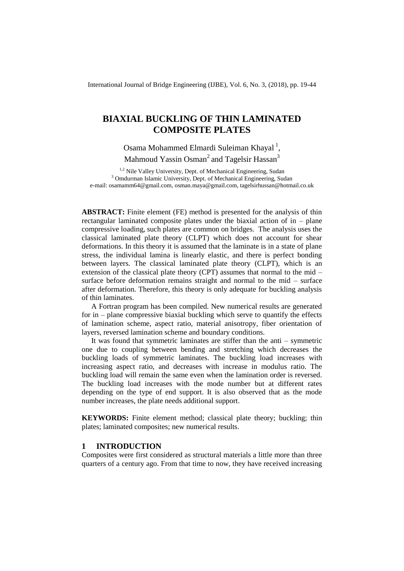International Journal of Bridge Engineering (IJBE), Vol. 6, No. 3, (2018), pp. 19-44

# **BIAXIAL BUCKLING OF THIN LAMINATED COMPOSITE PLATES**

Osama Mohammed Elmardi Suleiman Khayal<sup>1</sup>, Mahmoud Yassin Osman<sup>2</sup> and Tagelsir Hassan<sup>3</sup>

<sup>1,2</sup> Nile Valley University, Dept. of Mechanical Engineering, Sudan <sup>3</sup> Omdurman Islamic University, Dept. of Mechanical Engineering, Sudan e-mail: osamamm64@gmail.com, osman.maya@gmail.com, tagelsirhussan@hotmail.co.uk

**ABSTRACT:** Finite element (FE) method is presented for the analysis of thin rectangular laminated composite plates under the biaxial action of in – plane compressive loading, such plates are common on bridges. The analysis uses the classical laminated plate theory (CLPT) which does not account for shear deformations. In this theory it is assumed that the laminate is in a state of plane stress, the individual lamina is linearly elastic, and there is perfect bonding between layers. The classical laminated plate theory (CLPT), which is an extension of the classical plate theory (CPT) assumes that normal to the mid – surface before deformation remains straight and normal to the mid – surface after deformation. Therefore, this theory is only adequate for buckling analysis of thin laminates.

A Fortran program has been compiled. New numerical results are generated for in – plane compressive biaxial buckling which serve to quantify the effects of lamination scheme, aspect ratio, material anisotropy, fiber orientation of layers, reversed lamination scheme and boundary conditions.

It was found that symmetric laminates are stiffer than the anti – symmetric one due to coupling between bending and stretching which decreases the buckling loads of symmetric laminates. The buckling load increases with increasing aspect ratio, and decreases with increase in modulus ratio. The buckling load will remain the same even when the lamination order is reversed. The buckling load increases with the mode number but at different rates depending on the type of end support. It is also observed that as the mode number increases, the plate needs additional support.

**KEYWORDS:** Finite element method; classical plate theory; buckling; thin plates; laminated composites; new numerical results.

## **1 INTRODUCTION**

Composites were first considered as structural materials a little more than three quarters of a century ago. From that time to now, they have received increasing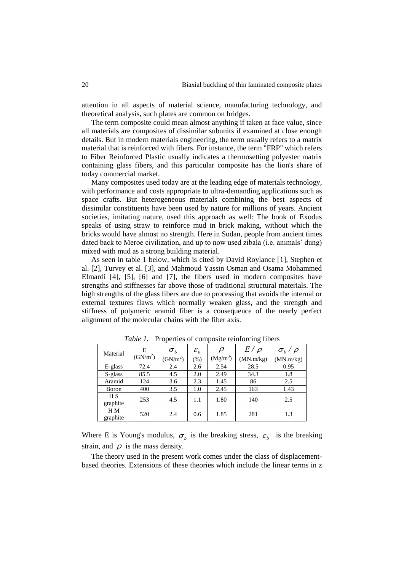attention in all aspects of material science, manufacturing technology, and theoretical analysis, such plates are common on bridges.

The term composite could mean almost anything if taken at face value, since all materials are composites of dissimilar subunits if examined at close enough details. But in modern materials engineering, the term usually refers to a matrix material that is reinforced with fibers. For instance, the term "FRP" which refers to Fiber Reinforced Plastic usually indicates a thermosetting polyester matrix containing glass fibers, and this particular composite has the lion's share of today commercial market.

Many composites used today are at the leading edge of materials technology, with performance and costs appropriate to ultra-demanding applications such as space crafts. But heterogeneous materials combining the best aspects of dissimilar constituents have been used by nature for millions of years. Ancient societies, imitating nature, used this approach as well: The book of Exodus speaks of using straw to reinforce mud in brick making, without which the bricks would have almost no strength. Here in Sudan, people from ancient times dated back to Meroe civilization, and up to now used zibala (i.e. animals' dung) mixed with mud as a strong building material.

As seen in table 1 below, which is cited by David Roylance [1], Stephen et al. [2], Turvey et al. [3], and Mahmoud Yassin Osman and Osama Mohammed Elmardi [4], [5], [6] and [7], the fibers used in modern composites have strengths and stiffnesses far above those of traditional structural materials. The high strengths of the glass fibers are due to processing that avoids the internal or external textures flaws which normally weaken glass, and the strength and stiffness of polymeric aramid fiber is a consequence of the nearly perfect alignment of the molecular chains with the fiber axis.

| Material                   | E          | $\sigma_{\scriptscriptstyle b}$ | $\varepsilon_b$ | $\rho$     | $E/\rho$  | $\sigma_b$ / $\rho$ |
|----------------------------|------------|---------------------------------|-----------------|------------|-----------|---------------------|
|                            | $(GN/m^2)$ | (GN/m <sup>2</sup> )            | $(\%)$          | $(Mg/m^3)$ | (MN.m/kg) | (MN.m/kg)           |
| $E$ -glass                 | 72.4       | 2.4                             | 2.6             | 2.54       | 28.5      | 0.95                |
| S-glass                    | 85.5       | 4.5                             | 2.0             | 2.49       | 34.3      | 1.8                 |
| Aramid                     | 124        | 3.6                             | 2.3             | 1.45       | 86        | 2.5                 |
| Boron                      | 400        | 3.5                             | 1.0             | 2.45       | 163       | 1.43                |
| H <sub>S</sub><br>graphite | 253        | 4.5                             | 1.1             | 1.80       | 140       | 2.5                 |
| H M<br>graphite            | 520        | 2.4                             | 0.6             | 1.85       | 281       | 1.3                 |

*Table 1.* Properties of composite reinforcing fibers

Where E is Young's modulus,  $\sigma_b$  is the breaking stress,  $\varepsilon_b$  is the breaking strain, and  $\rho$  is the mass density.

The theory used in the present work comes under the class of displacementbased theories. Extensions of these theories which include the linear terms in z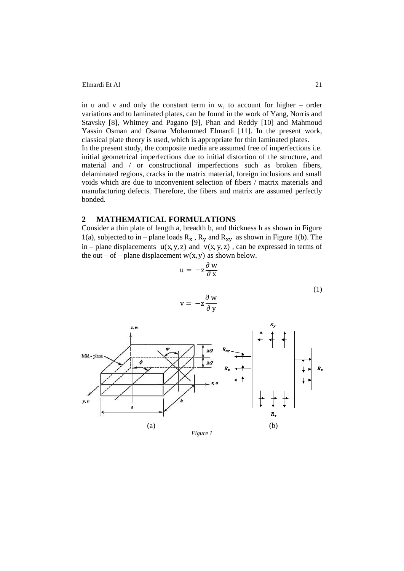in u and v and only the constant term in w, to account for higher – order variations and to laminated plates, can be found in the work of Yang, Norris and Stavsky [8], Whitney and Pagano [9], Phan and Reddy [10] and Mahmoud Yassin Osman and Osama Mohammed Elmardi [11]. In the present work, classical plate theory is used, which is appropriate for thin laminated plates. In the present study, the composite media are assumed free of imperfections i.e. initial geometrical imperfections due to initial distortion of the structure, and material and / or constructional imperfections such as broken fibers, delaminated regions, cracks in the matrix material, foreign inclusions and small voids which are due to inconvenient selection of fibers / matrix materials and manufacturing defects. Therefore, the fibers and matrix are assumed perfectly bonded.

## **2 MATHEMATICAL FORMULATIONS**

Consider a thin plate of length a, breadth b, and thickness h as shown in Figure 1(a), subjected to in – plane loads  $R_x$ ,  $R_y$  and  $R_{xy}$  as shown in Figure 1(b). The in – plane displacements  $u(x, y, z)$  and  $v(x, y, z)$ , can be expressed in terms of the out – of – plane displacement  $w(x, y)$  as shown below.

 $\mathbf{v}$ 

$$
u = -z \frac{\partial w}{\partial x}
$$
  
(1)  

$$
\partial w
$$

$$
\begin{array}{c|c}\n\hline\n\end{array}
$$
\nMid-plane

\n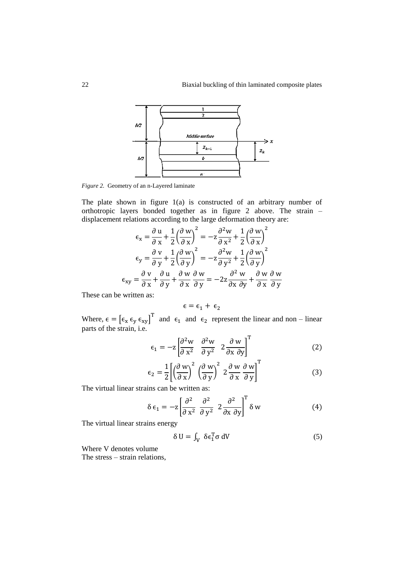

*Figure 2.* Geometry of an n-Layered laminate

The plate shown in figure 1(a) is constructed of an arbitrary number of orthotropic layers bonded together as in figure 2 above. The strain – displacement relations according to the large deformation theory are:

$$
\epsilon_{x} = \frac{\partial u}{\partial x} + \frac{1}{2} \left( \frac{\partial w}{\partial x} \right)^{2} = -z \frac{\partial^{2} w}{\partial x^{2}} + \frac{1}{2} \left( \frac{\partial w}{\partial x} \right)^{2}
$$

$$
\epsilon_{y} = \frac{\partial v}{\partial y} + \frac{1}{2} \left( \frac{\partial w}{\partial y} \right)^{2} = -z \frac{\partial^{2} w}{\partial y^{2}} + \frac{1}{2} \left( \frac{\partial w}{\partial y} \right)^{2}
$$

$$
\epsilon_{xy} = \frac{\partial v}{\partial x} + \frac{\partial u}{\partial y} + \frac{\partial w}{\partial x} \frac{\partial w}{\partial y} = -2z \frac{\partial^{2} w}{\partial x \partial y} + \frac{\partial w}{\partial x} \frac{\partial w}{\partial y}
$$

These can be written as:

$$
\varepsilon=\varepsilon_1+\,\varepsilon_2
$$

Where,  $\epsilon = [\epsilon_x \epsilon_y \epsilon_{xy}]^T$  and  $\epsilon_1$  and  $\epsilon_2$  represent the linear and non – linear parts of the strain, i.e.

$$
\epsilon_1 = -z \left[ \frac{\partial^2 w}{\partial x^2} \quad \frac{\partial^2 w}{\partial y^2} \quad 2 \frac{\partial w}{\partial x \partial y} \right]^T
$$
 (2)

$$
\epsilon_2 = \frac{1}{2} \left[ \left( \frac{\partial w}{\partial x} \right)^2 \left( \frac{\partial w}{\partial y} \right)^2 2 \frac{\partial w}{\partial x} \frac{\partial w}{\partial y} \right]^T
$$
 (3)

The virtual linear strains can be written as:

$$
\delta \epsilon_1 = -z \left[ \frac{\partial^2}{\partial x^2} \frac{\partial^2}{\partial y^2} 2 \frac{\partial^2}{\partial x \partial y} \right]^T \delta w \tag{4}
$$

The virtual linear strains energy

$$
\delta U = \int_{V} \delta \epsilon_{1}^{T} \sigma dV \tag{5}
$$

Where V denotes volume The stress – strain relations,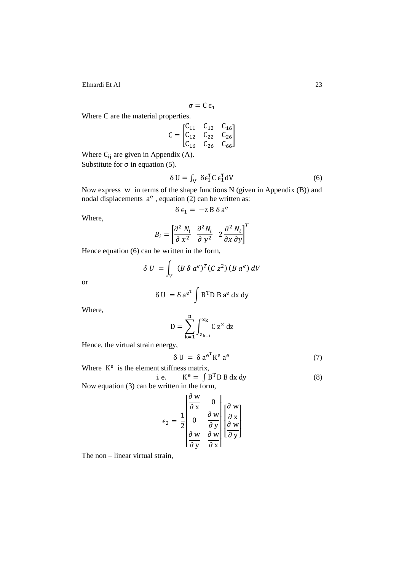$$
\sigma = C \, \varepsilon_1
$$

Where C are the material properties.

$$
C = \begin{bmatrix} C_{11} & C_{12} & C_{16} \\ C_{12} & C_{22} & C_{26} \\ C_{16} & C_{26} & C_{66} \end{bmatrix}
$$

Where  $C_{ij}$  are given in Appendix (A). Substitute for  $\sigma$  in equation (5).

$$
\delta U = \int_{V} \delta \epsilon_1^T C \epsilon_1^T dV \tag{6}
$$

Now express  $w$  in terms of the shape functions N (given in Appendix  $(B)$ ) and nodal displacements  $a^e$ , equation (2) can be written as:

$$
\delta \epsilon_1 = -z \, B \, \delta \, a^e
$$

Where,

$$
B_i = \left[\frac{\partial^2 N_i}{\partial x^2} \frac{\partial^2 N_i}{\partial y^2} \frac{\partial^2 N_i}{\partial x \partial y}\right]^T
$$

Hence equation (6) can be written in the form,

$$
\delta U = \int_V (B \delta a^e)^T (C z^2) (B a^e) dV
$$

or

$$
\delta U = \delta a^{e^T} \int B^T D B a^e dx dy
$$

Where,

$$
D = \sum_{k=1}^n \int_{z_{k-1}}^{z_k} \! \! C \, z^2 \; dz
$$

Hence, the virtual strain energy,

$$
\delta U = \delta a^{e^T} K^e a^e \tag{7}
$$

Where  $K^e$  is the element stiffness matrix, i.e.  $e = \int B^T D B dx dy$  (8) Now equation (3) can be written in the form,

$$
\epsilon_2 = \frac{1}{2} \begin{bmatrix} \frac{\partial w}{\partial x} & 0 \\ 0 & \frac{\partial w}{\partial y} \\ \frac{\partial w}{\partial y} & \frac{\partial w}{\partial x} \end{bmatrix} \begin{bmatrix} \frac{\partial w}{\partial x} \\ \frac{\partial w}{\partial y} \end{bmatrix}
$$

The non – linear virtual strain,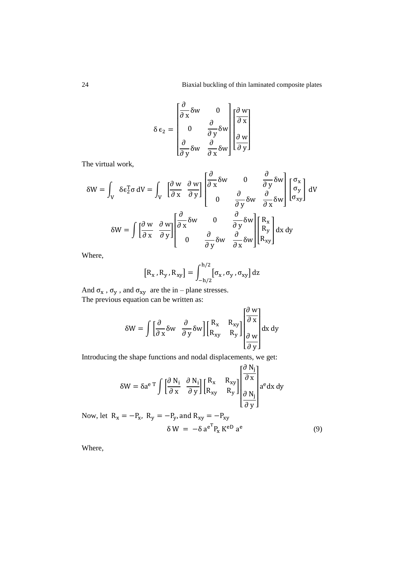$$
\delta \epsilon_2 = \begin{bmatrix} \frac{\partial}{\partial x} \delta w & 0 \\ 0 & \frac{\partial}{\partial y} \delta w \\ \frac{\partial}{\partial y} \delta w & \frac{\partial}{\partial x} \delta w \end{bmatrix} \begin{bmatrix} \frac{\partial w}{\partial x} \\ \frac{\partial w}{\partial y} \end{bmatrix}
$$

The virtual work,

$$
\delta W = \int_{V} \delta \epsilon_{2}^{T} \sigma \, dV = \int_{V} \left[ \frac{\partial w}{\partial x} \frac{\partial w}{\partial y} \right] \begin{bmatrix} \frac{\partial}{\partial x} \delta w & 0 & \frac{\partial}{\partial y} \delta w \\ 0 & \frac{\partial}{\partial y} \delta w & \frac{\partial}{\partial x} \delta w \end{bmatrix} \begin{bmatrix} \sigma_{x} \\ \sigma_{y} \\ \sigma_{xy} \end{bmatrix} dV
$$

$$
\delta W = \int \left[ \frac{\partial w}{\partial x} \frac{\partial w}{\partial y} \right] \begin{bmatrix} \frac{\partial}{\partial x} \delta w & 0 & \frac{\partial}{\partial y} \delta w \\ 0 & \frac{\partial}{\partial y} \delta w & \frac{\partial}{\partial x} \delta w \end{bmatrix} \begin{bmatrix} R_{x} \\ R_{y} \\ R_{xy} \end{bmatrix} dx dy
$$

Where,

$$
[R_x, R_y, R_{xy}] = \int_{-h/2}^{h/2} [\sigma_x, \sigma_y, \sigma_{xy}] dz
$$

And  $\sigma_x$ ,  $\sigma_y$ , and  $\sigma_{xy}$  are the in – plane stresses. The previous equation can be written as:

$$
\delta W = \int \left[ \frac{\partial}{\partial x} \delta w \frac{\partial}{\partial y} \delta w \right] \begin{bmatrix} R_x & R_{xy} \\ R_{xy} & R_y \end{bmatrix} \begin{bmatrix} \frac{\partial w}{\partial x} \\ \frac{\partial w}{\partial y} \end{bmatrix} dx dy
$$

Introducing the shape functions and nodal displacements, we get:

$$
\delta W = \delta a^{e\,T} \int \begin{bmatrix} \frac{\partial N_i}{\partial x} & \frac{\partial N_i}{\partial y} \end{bmatrix} \begin{bmatrix} R_x & R_{xy} \\ R_{xy} & R_y \end{bmatrix} \begin{bmatrix} \frac{\partial N_j}{\partial x} \\ \frac{\partial N_j}{\partial y} \end{bmatrix} a^e dx dy
$$

(9)

Now, let  $R_x = -P_x$ ,  $R_y = -P_y$ , and  $R_{xy} = -P_{xy}$  $\delta W = -\delta a^{e^T} P_x K^{eD} a^e$ 

Where,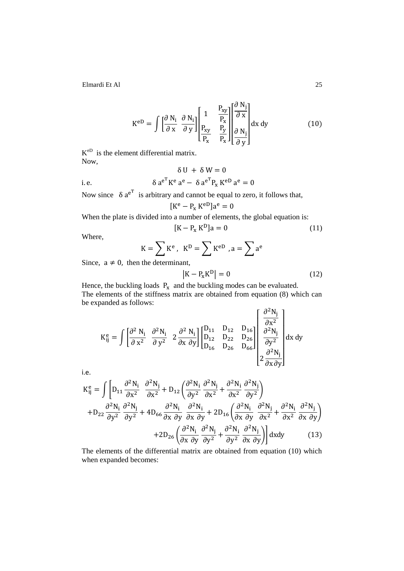$$
K^{eD} = \int \left[\frac{\partial N_i}{\partial x} \frac{\partial N_i}{\partial y}\right] \left[\frac{1}{P_{xy}} \frac{P_{xy}}{P_x}\right] \left[\frac{\partial N_j}{\partial x}\right] dx dy
$$
(10)

 $K^{\text{eD}}$  is the element differential matrix. Now,

$$
\delta U + \delta W = 0
$$
  
i.e. 
$$
\delta a^{e^{T}} K^{e} a^{e} - \delta a^{e^{T}} P_{x} K^{eD} a^{e} = 0
$$

Now since  $\delta a^{e^T}$  is arbitrary and cannot be equal to zero, it follows that,

$$
[K^e - P_x K^{eD}]a^e = 0
$$

When the plate is divided into a number of elements, the global equation is:

$$
[K - Px KD]a = 0
$$
 (11)

Where,

$$
K = \sum K^{e}, K^{D} = \sum K^{eD}, a = \sum a^{e}
$$

Since,  $a \neq 0$ , then the determinant,

$$
\left|K - P_{x} K^{D}\right| = 0\tag{12}
$$

Hence, the buckling loads  $P_x$  and the buckling modes can be evaluated. The elements of the stiffness matrix are obtained from equation (8) which can be expanded as follows:

$$
K_{ij}^{e} = \int \begin{bmatrix} \frac{\partial^2 N_i}{\partial x^2} & \frac{\partial^2 N_i}{\partial y^2} & 2 \frac{\partial^2 N_i}{\partial x \partial y} \end{bmatrix} \begin{bmatrix} D_{11} & D_{12} & D_{16} \\ D_{12} & D_{22} & D_{26} \\ D_{16} & D_{26} & D_{66} \end{bmatrix} \begin{bmatrix} \frac{\partial^2 N_j}{\partial x^2} \\ \frac{\partial^2 N_j}{\partial y^2} \\ 2 \frac{\partial^2 N_j}{\partial x \partial y} \end{bmatrix} dx dy
$$

i.e.

$$
K_{ij}^{e} = \int \left[ D_{11} \frac{\partial^2 N_i}{\partial x^2} \frac{\partial^2 N_j}{\partial x^2} + D_{12} \left( \frac{\partial^2 N_i}{\partial y^2} \frac{\partial^2 N_j}{\partial x^2} + \frac{\partial^2 N_i}{\partial x^2} \frac{\partial^2 N_j}{\partial y^2} \right) + D_{22} \frac{\partial^2 N_i}{\partial y^2} \frac{\partial^2 N_j}{\partial y^2} + 4D_{66} \frac{\partial^2 N_i}{\partial x \partial y} \frac{\partial^2 N_i}{\partial x \partial y} + 2D_{16} \left( \frac{\partial^2 N_i}{\partial x \partial y} \frac{\partial^2 N_j}{\partial x^2} + \frac{\partial^2 N_i}{\partial x^2} \frac{\partial^2 N_j}{\partial x \partial y} \right) + 2D_{26} \left( \frac{\partial^2 N_i}{\partial x \partial y} \frac{\partial^2 N_j}{\partial y^2} + \frac{\partial^2 N_i}{\partial y^2} \frac{\partial^2 N_j}{\partial x \partial y} \right) dx dy \tag{13}
$$

The elements of the differential matrix are obtained from equation (10) which when expanded becomes: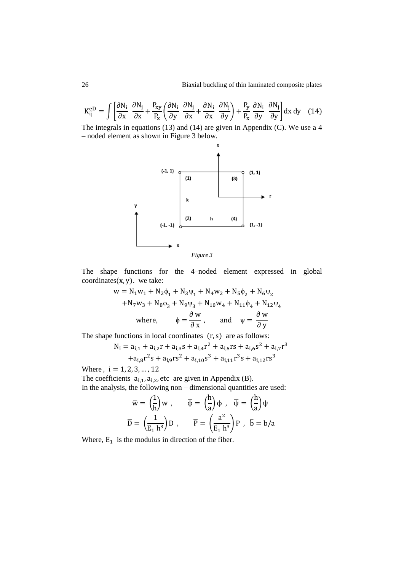$$
K_{ij}^{eD} = \int \left[ \frac{\partial N_i}{\partial x} \frac{\partial N_j}{\partial x} + \frac{P_{xy}}{P_x} \left( \frac{\partial N_i}{\partial y} \frac{\partial N_j}{\partial x} + \frac{\partial N_i}{\partial x} \frac{\partial N_j}{\partial y} \right) + \frac{P_y}{P_x} \frac{\partial N_i}{\partial y} \frac{\partial N_j}{\partial y} \right] dx dy \quad (14)
$$

The integrals in equations (13) and (14) are given in Appendix (C). We use a 4 – noded element as shown in Figure 3 below.





The shape functions for the 4–noded element expressed in global coordinates  $(x, y)$ . we take:

$$
w = N_1 w_1 + N_2 \phi_1 + N_3 \psi_1 + N_4 w_2 + N_5 \phi_2 + N_6 \psi_2
$$
  
+
$$
N_7 w_3 + N_8 \phi_3 + N_9 \psi_3 + N_{10} w_4 + N_{11} \phi_4 + N_{12} \psi_4
$$
  
where, 
$$
\phi = \frac{\partial w}{\partial x}, \quad \text{and} \quad \psi = \frac{\partial w}{\partial y}
$$

The shape functions in local coordinates  $(r, s)$  are as follows:

$$
N_{i} = a_{i,1} + a_{i,2}r + a_{i,3}s + a_{i,4}r^{2} + a_{i,5}rs + a_{i,6}s^{2} + a_{i,7}r^{3}
$$
  
+ 
$$
a_{i,8}r^{2}s + a_{i,9}rs^{2} + a_{i,10}s^{3} + a_{i,11}r^{3}s + a_{i,12}rs^{3}
$$

Where,  $i = 1, 2, 3, ..., 12$ 

The coefficients  $a_{i,1}$ ,  $a_{i,2}$ , etc are given in Appendix (B). In the analysis, the following non – dimensional quantities are used:

$$
\overline{w} = \left(\frac{1}{h}\right)w , \qquad \overline{\Phi} = \left(\frac{h}{a}\right)\Phi , \quad \overline{\Psi} = \left(\frac{h}{a}\right)\Psi
$$

$$
\overline{D} = \left(\frac{1}{E_1 h^3}\right)D , \qquad \overline{P} = \left(\frac{a^2}{E_1 h^3}\right)P , \quad \overline{b} = b/a
$$

Where,  $E_1$  is the modulus in direction of the fiber.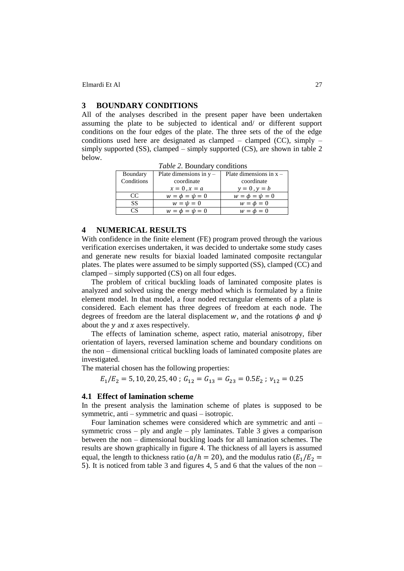## **3 BOUNDARY CONDITIONS**

All of the analyses described in the present paper have been undertaken assuming the plate to be subjected to identical and/ or different support conditions on the four edges of the plate. The three sets of the of the edge conditions used here are designated as clamped – clamped (CC), simply – simply supported (SS), clamped – simply supported (CS), are shown in table 2 below.

*Table 2.* Boundary conditions

| Boundary       | Plate dimensions in $y -$ | Plate dimensions in $x -$ |
|----------------|---------------------------|---------------------------|
| Conditions     | coordinate                | coordinate                |
|                | $x=0$ , $x=a$             | $y=0$ , $y=b$             |
| $\overline{C}$ | $w = \phi = \psi = 0$     | $w = \phi = \psi = 0$     |
| SS             | $w = \psi = 0$            | $w = \phi = 0$            |
|                | $w = \phi = \psi = 0$     | $w = \phi = 0$            |
|                |                           |                           |

#### **4 NUMERICAL RESULTS**

With confidence in the finite element (FE) program proved through the various verification exercises undertaken, it was decided to undertake some study cases and generate new results for biaxial loaded laminated composite rectangular plates. The plates were assumed to be simply supported (SS), clamped (CC) and clamped – simply supported (CS) on all four edges.

The problem of critical buckling loads of laminated composite plates is analyzed and solved using the energy method which is formulated by a finite element model. In that model, a four noded rectangular elements of a plate is considered. Each element has three degrees of freedom at each node. The degrees of freedom are the lateral displacement w, and the rotations  $\phi$  and  $\psi$ about the  $\nu$  and  $x$  axes respectively.

The effects of lamination scheme, aspect ratio, material anisotropy, fiber orientation of layers, reversed lamination scheme and boundary conditions on the non – dimensional critical buckling loads of laminated composite plates are investigated.

The material chosen has the following properties:

 $E_1/E_2 = 5, 10, 20, 25, 40$ ;  $G_{12} = G_{13} = G_{23} = 0.5E_2$ ;  $v_{12} = 0.25$ 

### **4.1 Effect of lamination scheme**

In the present analysis the lamination scheme of plates is supposed to be symmetric, anti – symmetric and quasi – isotropic.

Four lamination schemes were considered which are symmetric and anti – symmetric cross  $-$  ply and angle  $-$  ply laminates. Table 3 gives a comparison between the non – dimensional buckling loads for all lamination schemes. The results are shown graphically in figure 4. The thickness of all layers is assumed equal, the length to thickness ratio ( $a/h = 20$ ), and the modulus ratio ( $E_1/E_2 =$ ). It is noticed from table 3 and figures 4, 5 and 6 that the values of the non –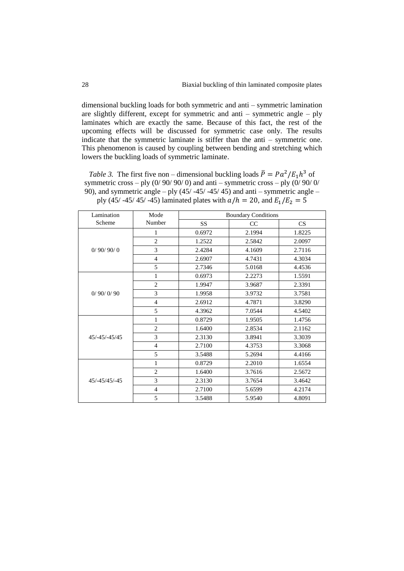dimensional buckling loads for both symmetric and anti – symmetric lamination are slightly different, except for symmetric and anti – symmetric angle – ply laminates which are exactly the same. Because of this fact, the rest of the upcoming effects will be discussed for symmetric case only. The results indicate that the symmetric laminate is stiffer than the anti – symmetric one. This phenomenon is caused by coupling between bending and stretching which lowers the buckling loads of symmetric laminate.

*Table 3.* The first five non – dimensional buckling loads  $\bar{P} = P a^2 / E_1 h^3$  of symmetric cross – ply  $(0/90/90/0)$  and anti – symmetric cross – ply  $(0/90/0/$ 90), and symmetric angle – ply  $(45/ -45/ -45/ 45)$  and anti – symmetric angle – ply (45/ -45/ 45/ -45) laminated plates with  $a/h = 20$ , and  $E_1/E_2 = 5$ 

| Lamination    | Mode           | <b>Boundary Conditions</b> |        |        |  |
|---------------|----------------|----------------------------|--------|--------|--|
| Scheme        | Number         | <b>SS</b>                  | CC     | CS     |  |
|               | 1              | 0.6972                     | 2.1994 | 1.8225 |  |
|               | $\overline{2}$ | 1.2522                     | 2.5842 | 2.0097 |  |
| 0/90/90/0     | 3              | 2.4284                     | 4.1609 | 2.7116 |  |
|               | $\overline{4}$ | 2.6907                     | 4.7431 | 4.3034 |  |
|               | 5              | 2.7346                     | 5.0168 | 4.4536 |  |
|               | $\mathbf{1}$   | 0.6973                     | 2.2273 | 1.5591 |  |
|               | $\overline{2}$ | 1.9947                     | 3.9687 | 2.3391 |  |
| 0/90/0/90     | 3              | 1.9958                     | 3.9732 | 3.7581 |  |
|               | $\overline{4}$ | 2.6912                     | 4.7871 | 3.8290 |  |
|               | 5              | 4.3962                     | 7.0544 | 4.5402 |  |
|               | 1              | 0.8729                     | 1.9505 | 1.4756 |  |
|               | $\overline{2}$ | 1.6400                     | 2.8534 | 2.1162 |  |
| 45/-45/-45/45 | 3              | 2.3130                     | 3.8941 | 3.3039 |  |
|               | 4              | 2.7100                     | 4.3753 | 3.3068 |  |
|               | 5              | 3.5488                     | 5.2694 | 4.4166 |  |
|               | 1              | 0.8729                     | 2.2010 | 1.6554 |  |
|               | $\overline{c}$ | 1.6400                     | 3.7616 | 2.5672 |  |
| 45/-45/45/-45 | 3              | 2.3130                     | 3.7654 | 3.4642 |  |
|               | $\overline{4}$ | 2.7100                     | 5.6599 | 4.2174 |  |
|               | 5              | 3.5488                     | 5.9540 | 4.8091 |  |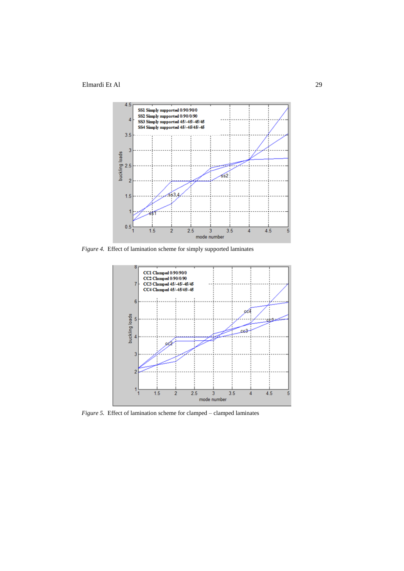

*Figure 4.* Effect of lamination scheme for simply supported laminates



*Figure 5.* Effect of lamination scheme for clamped – clamped laminates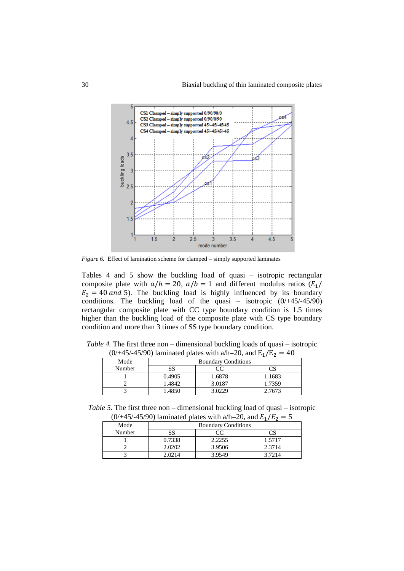

*Figure 6.* Effect of lamination scheme for clamped – simply supported laminates

Tables 4 and 5 show the buckling load of quasi – isotropic rectangular composite plate with  $a/h = 20$ ,  $a/b = 1$  and different modulus ratios  $(E_1)$  $E_2 = 40$  and 5). The buckling load is highly influenced by its boundary conditions. The buckling load of the quasi – isotropic  $(0/445/45/90)$ rectangular composite plate with CC type boundary condition is 1.5 times higher than the buckling load of the composite plate with CS type boundary condition and more than 3 times of SS type boundary condition.

| (0/+43/-43/90) lallilliated plates with $\alpha$ /H-20, and E <sub>1</sub> /E <sub>2</sub> $-$ 40 |                            |        |        |  |  |  |
|---------------------------------------------------------------------------------------------------|----------------------------|--------|--------|--|--|--|
| Mode                                                                                              | <b>Boundary Conditions</b> |        |        |  |  |  |
| Number                                                                                            | SS<br>CC                   |        |        |  |  |  |
|                                                                                                   | 0.4905                     | 1.6878 | 1.1683 |  |  |  |
|                                                                                                   | 1.4842                     | 3.0187 | 1.7359 |  |  |  |
|                                                                                                   | 1.4850                     | 3.0229 | 2.7673 |  |  |  |

*Table 4.* The first three non – dimensional buckling loads of quasi – isotropic  $(0/445/45/90)$  laminated plates with a/h=20, and E<sub>4</sub>/E<sub>2</sub> = 40

*Table 5.* The first three non – dimensional buckling load of quasi – isotropic  $(0/445/45/90)$  laminated plates with a/h=20, and  $E_1/E_2 = 5$ 

|        | .<br>$\cdots$ $\cdots$ $\cdots$ $\cdots$ $\cdots$ $\cdots$ $\cdots$ $\cdots$ $\cdots$ |        |        |  |  |  |
|--------|---------------------------------------------------------------------------------------|--------|--------|--|--|--|
| Mode   | <b>Boundary Conditions</b>                                                            |        |        |  |  |  |
| Number | SS                                                                                    | CC     |        |  |  |  |
|        | 0.7338                                                                                | 2.2255 | 1.5717 |  |  |  |
|        | 2.0202                                                                                | 3.9506 | 2.3714 |  |  |  |
|        | 2.0214                                                                                | 3.9549 | 3.7214 |  |  |  |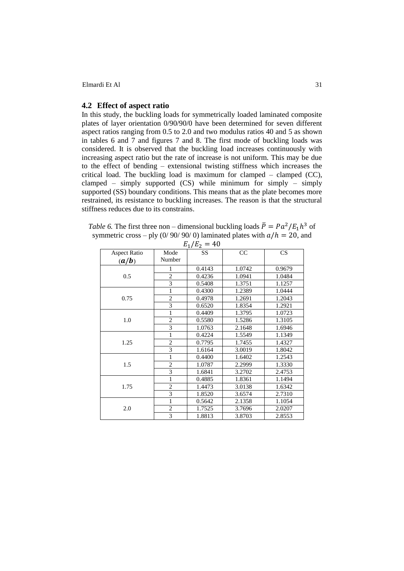## **4.2 Effect of aspect ratio**

In this study, the buckling loads for symmetrically loaded laminated composite plates of layer orientation 0/90/90/0 have been determined for seven different aspect ratios ranging from 0.5 to 2.0 and two modulus ratios 40 and 5 as shown in tables 6 and 7 and figures 7 and 8. The first mode of buckling loads was considered. It is observed that the buckling load increases continuously with increasing aspect ratio but the rate of increase is not uniform. This may be due to the effect of bending – extensional twisting stiffness which increases the critical load. The buckling load is maximum for clamped – clamped (CC), clamped – simply supported (CS) while minimum for simply – simply supported (SS) boundary conditions. This means that as the plate becomes more restrained, its resistance to buckling increases. The reason is that the structural stiffness reduces due to its constrains.

*Table 6.* The first three non – dimensional buckling loads  $\bar{P} = P a^2 / E_1 h^3$  of symmetric cross – ply (0/ 90/ 90/ 0) laminated plates with  $a/h = 20$ , and

|                              |                         | $L_{1}/L_{2}$ –<br>1 V                                                                                                                                                                                                                                                                                   |        |        |
|------------------------------|-------------------------|----------------------------------------------------------------------------------------------------------------------------------------------------------------------------------------------------------------------------------------------------------------------------------------------------------|--------|--------|
| <b>Aspect Ratio</b><br>(a/b) | Mode<br>Number          | <b>SS</b>                                                                                                                                                                                                                                                                                                | CC     | CS     |
|                              | 1                       | 0.4143                                                                                                                                                                                                                                                                                                   | 1.0742 | 0.9679 |
| 0.5                          | $\sqrt{2}$              | 0.4236                                                                                                                                                                                                                                                                                                   | 1.0941 | 1.0484 |
|                              | $\overline{\mathbf{3}}$ | 0.5408                                                                                                                                                                                                                                                                                                   | 1.3751 | 1.1257 |
|                              | 1                       | 0.4300                                                                                                                                                                                                                                                                                                   | 1.2389 | 1.0444 |
| 0.75                         | $\overline{c}$          | 0.4978                                                                                                                                                                                                                                                                                                   | 1.2691 | 1.2043 |
|                              | 3                       | 0.6520<br>1.8354<br>0.4409<br>1.3795<br>1.5286<br>0.5580<br>1.0763<br>2.1648<br>0.4224<br>1.5549<br>0.7795<br>1.7455<br>1.6164<br>3.0019<br>0.4400<br>1.6402<br>1.0787<br>2.2999<br>3.2702<br>1.6841<br>0.4885<br>1.8361<br>1.4473<br>3.0138<br>1.8520<br>3.6574<br>0.5642<br>2.1358<br>1.7525<br>3.7696 | 1.2921 |        |
|                              | 1                       |                                                                                                                                                                                                                                                                                                          |        | 1.0723 |
| 1.0                          | $\overline{2}$          |                                                                                                                                                                                                                                                                                                          |        | 1.3105 |
|                              | 3                       |                                                                                                                                                                                                                                                                                                          |        | 1.6946 |
|                              | 1                       |                                                                                                                                                                                                                                                                                                          |        | 1.1349 |
| 1.25                         | $\overline{c}$          |                                                                                                                                                                                                                                                                                                          |        | 1.4327 |
|                              | 3                       |                                                                                                                                                                                                                                                                                                          |        | 1.8042 |
|                              | $\mathbf{1}$            |                                                                                                                                                                                                                                                                                                          |        | 1.2543 |
| 1.5                          | $\overline{c}$          |                                                                                                                                                                                                                                                                                                          |        | 1.3330 |
|                              | $\overline{3}$          |                                                                                                                                                                                                                                                                                                          |        | 2.4753 |
|                              | $\mathbf{1}$            |                                                                                                                                                                                                                                                                                                          |        | 1.1494 |
| 1.75                         | $\overline{c}$          |                                                                                                                                                                                                                                                                                                          |        | 1.6342 |
|                              | 3                       |                                                                                                                                                                                                                                                                                                          |        | 2.7310 |
|                              | 1                       |                                                                                                                                                                                                                                                                                                          |        | 1.1054 |
| 2.0                          | $\overline{c}$          |                                                                                                                                                                                                                                                                                                          |        | 2.0207 |
|                              | $\overline{3}$          | 1.8813                                                                                                                                                                                                                                                                                                   | 3.8703 | 2.8553 |

 $E/I_E = 40$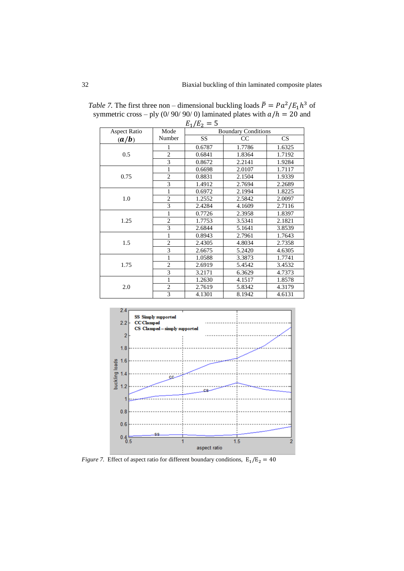|                     | $E_1/E_2 = 5$  |                            |               |        |  |  |
|---------------------|----------------|----------------------------|---------------|--------|--|--|
| <b>Aspect Ratio</b> | Mode           | <b>Boundary Conditions</b> |               |        |  |  |
| (a/b)               | Number         | <b>SS</b>                  | <sub>CC</sub> | CS     |  |  |
|                     | 1              | 0.6787                     | 1.7786        | 1.6325 |  |  |
| 0.5                 | $\overline{2}$ | 0.6841                     | 1.8364        | 1.7192 |  |  |
|                     | 3              | 0.8672                     | 2.2141        | 1.9284 |  |  |
|                     | 1              | 0.6698                     | 2.0107        | 1.7117 |  |  |
| 0.75                | $\overline{2}$ | 0.8831                     | 2.1504        | 1.9339 |  |  |
|                     | 3              | 1.4912                     | 2.7694        | 2.2689 |  |  |
|                     | 1              | 0.6972                     | 2.1994        | 1.8225 |  |  |
| 1.0                 | $\overline{2}$ | 1.2552                     | 2.5842        | 2.0097 |  |  |
|                     | 3              | 2.4284                     | 4.1609        | 2.7116 |  |  |
|                     | 1              | 0.7726                     | 2.3958        | 1.8397 |  |  |
| 1.25                | $\overline{2}$ | 1.7753                     | 3.5341        | 2.1821 |  |  |
|                     | 3              | 2.6844                     | 5.1641        | 3.8539 |  |  |
|                     | 1              | 0.8943                     | 2.7961        | 1.7643 |  |  |
| 1.5                 | $\overline{2}$ | 2.4305                     | 4.8034        | 2.7358 |  |  |
|                     | $\overline{3}$ | 2.6675                     | 5.2420        | 4.6305 |  |  |
|                     | 1              | 1.0588                     | 3.3873        | 1.7741 |  |  |
| 1.75                | $\overline{2}$ | 2.6919                     | 5.4542        | 3.4532 |  |  |
|                     | 3              | 3.2171                     | 6.3629        | 4.7373 |  |  |
|                     | 1              | 1.2630                     | 4.1517        | 1.8578 |  |  |
| 2.0                 | $\overline{c}$ | 2.7619                     | 5.8342        | 4.3179 |  |  |
|                     | 3              | 4.1301                     | 8.1942        | 4.6131 |  |  |

*Table 7.* The first three non – dimensional buckling loads  $\bar{P} = P a^2 / E_1 h^3$  of symmetric cross – ply (0/ 90/ 90/ 0) laminated plates with  $a/h = 20$  and



*Figure 7.* Effect of aspect ratio for different boundary conditions,  $E_1/E_2 = 40$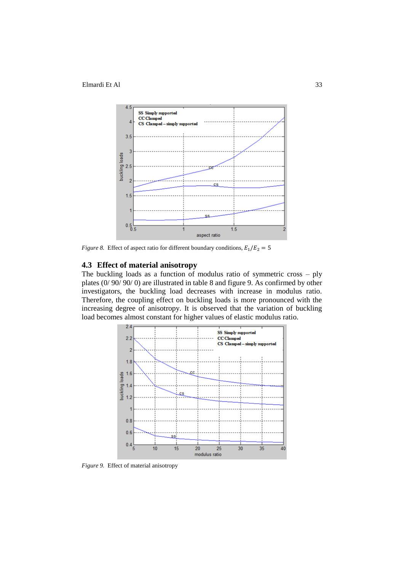

*Figure 8.* Effect of aspect ratio for different boundary conditions,  $E_1/E_2 = 5$ 

## **4.3 Effect of material anisotropy**

The buckling loads as a function of modulus ratio of symmetric cross – ply plates (0/ 90/ 90/ 0) are illustrated in table 8 and figure 9. As confirmed by other investigators, the buckling load decreases with increase in modulus ratio. Therefore, the coupling effect on buckling loads is more pronounced with the increasing degree of anisotropy. It is observed that the variation of buckling load becomes almost constant for higher values of elastic modulus ratio.



*Figure 9.* Effect of material anisotropy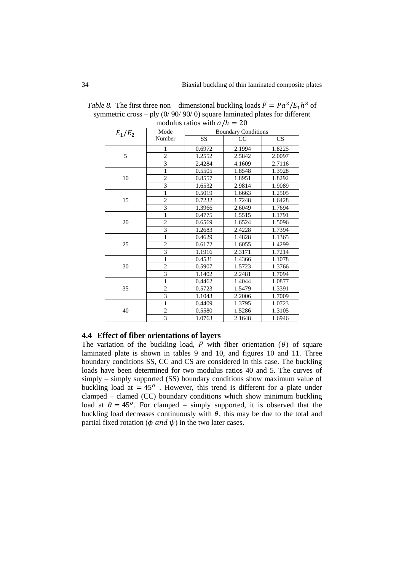| $E_1/E_2$ | Mode           |           | <b>Boundary Conditions</b> |        |  |  |
|-----------|----------------|-----------|----------------------------|--------|--|--|
|           | Number         | <b>SS</b> | CC                         | CS     |  |  |
|           | 1              | 0.6972    | 2.1994                     | 1.8225 |  |  |
| 5         | $\overline{2}$ | 1.2552    | 2.5842                     | 2.0097 |  |  |
|           | 3              | 2.4284    | 4.1609                     | 2.7116 |  |  |
|           | 1              | 0.5505    | 1.8548                     | 1.3928 |  |  |
| 10        | $\overline{c}$ | 0.8557    | 1.8951                     | 1.8292 |  |  |
|           | $\overline{3}$ | 1.6532    | 2.9814                     | 1.9089 |  |  |
|           | $\mathbf{1}$   | 0.5019    | 1.6663                     | 1.2505 |  |  |
| 15        | $\overline{c}$ | 0.7232    | 1.7248                     | 1.6428 |  |  |
|           | 3              | 1.3966    | 2.6049                     | 1.7694 |  |  |
|           | $\mathbf{1}$   | 0.4775    | 1.5515                     | 1.1791 |  |  |
| 20        | $\overline{c}$ | 0.6569    | 1.6524                     | 1.5096 |  |  |
|           | 3              | 1.2683    | 2.4228                     | 1.7394 |  |  |
|           | 1              | 0.4629    | 1.4828                     | 1.1365 |  |  |
| 25        | $\overline{2}$ | 0.6172    | 1.6055                     | 1.4299 |  |  |
|           | 3              | 1.1916    | 2.3171                     | 1.7214 |  |  |
|           | 1              | 0.4531    | 1.4366                     | 1.1078 |  |  |
| 30        | $\overline{c}$ | 0.5907    | 1.5723                     | 1.3766 |  |  |
|           | 3              | 1.1402    | 2.2481                     | 1.7094 |  |  |
|           | 1              | 0.4462    | 1.4044                     | 1.0877 |  |  |
| 35        | $\overline{c}$ | 0.5723    | 1.5479                     | 1.3391 |  |  |
|           | 3              | 1.1043    | 2.2006                     | 1.7009 |  |  |
|           | 1              | 0.4409    | 1.3795                     | 1.0723 |  |  |
| 40        | $\mathbf{2}$   | 0.5580    | 1.5286                     | 1.3105 |  |  |
|           | 3              | 1.0763    | 2.1648                     | 1.6946 |  |  |

*Table 8.* The first three non – dimensional buckling loads  $\bar{P} = P a^2 / E_1 h^3$  of symmetric cross – ply  $(0/90/90/0)$  square laminated plates for different modulus ratios with  $a/h = 20$ 

## **4.4 Effect of fiber orientations of layers**

The variation of the buckling load,  $\bar{P}$  with fiber orientation ( $\theta$ ) of square laminated plate is shown in tables 9 and 10, and figures 10 and 11. Three boundary conditions SS, CC and CS are considered in this case. The buckling loads have been determined for two modulus ratios 40 and 5. The curves of simply – simply supported (SS) boundary conditions show maximum value of buckling load at  $= 45^{\circ}$ . However, this trend is different for a plate under clamped – clamed (CC) boundary conditions which show minimum buckling load at  $\theta = 45^{\circ}$ . For clamped – simply supported, it is observed that the buckling load decreases continuously with  $\theta$ , this may be due to the total and partial fixed rotation ( $\phi$  and  $\psi$ ) in the two later cases.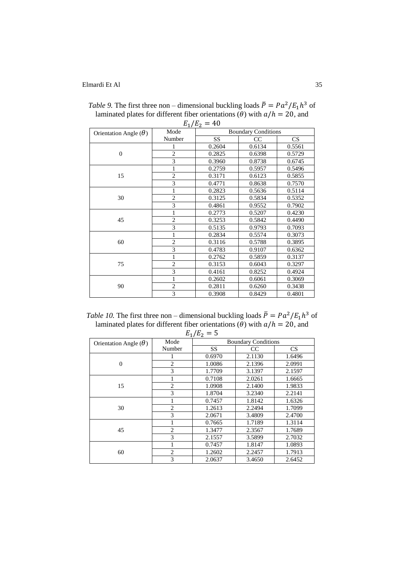|                              | $\perp$<br>Mode | ے ۔<br><b>Boundary Conditions</b> |        |        |
|------------------------------|-----------------|-----------------------------------|--------|--------|
| Orientation Angle $(\theta)$ |                 |                                   |        |        |
|                              | Number          | SS                                | CC     | CS     |
|                              |                 | 0.2604                            | 0.6134 | 0.5561 |
| $\overline{0}$               | $\overline{c}$  | 0.2825                            | 0.6398 | 0.5729 |
|                              | 3               | 0.3960                            | 0.8738 | 0.6745 |
|                              | 1               | 0.2759                            | 0.5957 | 0.5496 |
| 15                           | $\overline{2}$  | 0.3171                            | 0.6123 | 0.5855 |
|                              | 3               | 0.4771                            | 0.8638 | 0.7570 |
|                              | 1               | 0.2823                            | 0.5636 | 0.5114 |
| 30                           | $\overline{c}$  | 0.3125                            | 0.5834 | 0.5352 |
|                              | $\overline{3}$  | 0.4861                            | 0.9552 | 0.7902 |
|                              | $\mathbf{1}$    | 0.2773                            | 0.5207 | 0.4230 |
| 45                           | $\overline{c}$  | 0.3253                            | 0.5842 | 0.4490 |
|                              | $\overline{3}$  | 0.5135                            | 0.9793 | 0.7093 |
|                              | 1               | 0.2834                            | 0.5574 | 0.3073 |
| 60                           | $\overline{2}$  | 0.3116                            | 0.5788 | 0.3895 |
|                              | 3               | 0.4783                            | 0.9107 | 0.6362 |
|                              | 1               | 0.2762                            | 0.5859 | 0.3137 |
| 75                           | $\overline{c}$  | 0.3153                            | 0.6043 | 0.3297 |
|                              | 3               | 0.4161                            | 0.8252 | 0.4924 |
|                              | $\mathbf{1}$    | 0.2602                            | 0.6061 | 0.3069 |
| 90                           | $\overline{c}$  | 0.2811                            | 0.6260 | 0.3438 |
|                              | $\overline{3}$  | 0.3908                            | 0.8429 | 0.4801 |

*Table 9*. The first three non – dimensional buckling loads  $\bar{P} = P a^2 / E_1 h^3$  of laminated plates for different fiber orientations ( $\theta$ ) with  $a/h = 20$ , and

 $E_1/E_2 = 40$ 

*Table 10.* The first three non – dimensional buckling loads  $\bar{P} = P a^2 / E_1 h^3$  of laminated plates for different fiber orientations ( $\theta$ ) with  $a/h = 20$ , and

| Orientation Angle $(\theta)$ | Mode           | <b>*</b><br><u>.</u> | <b>Boundary Conditions</b> |        |  |
|------------------------------|----------------|----------------------|----------------------------|--------|--|
|                              | Number         | <b>SS</b>            | CC                         | CS     |  |
|                              |                | 0.6970               | 2.1130                     | 1.6496 |  |
| $\theta$                     | $\overline{2}$ | 1.0086               | 2.1396                     | 2.0991 |  |
|                              | 3              | 1.7709               | 3.1397                     | 2.1597 |  |
|                              |                | 0.7108               | 2.0261                     | 1.6665 |  |
| 15                           | $\overline{2}$ | 1.0908               | 2.1400                     | 1.9833 |  |
|                              | 3              | 1.8704               | 3.2340                     | 2.2141 |  |
|                              | 1              | 0.7457               | 1.8142                     | 1.6326 |  |
| 30                           | $\overline{2}$ | 1.2613               | 2.2494                     | 1.7099 |  |
|                              | 3              | 2.0671               | 3.4809                     | 2.4700 |  |
|                              |                | 0.7665               | 1.7189                     | 1.3114 |  |
| 45                           | $\overline{2}$ | 1.3477               | 2.3567                     | 1.7689 |  |
|                              | 3              | 2.1557               | 3.5899                     | 2.7032 |  |
|                              |                | 0.7457               | 1.8147                     | 1.0893 |  |
| 60                           | 2              | 1.2602               | 2.2457                     | 1.7913 |  |
|                              | 3              | 2.0637               | 3.4650                     | 2.6452 |  |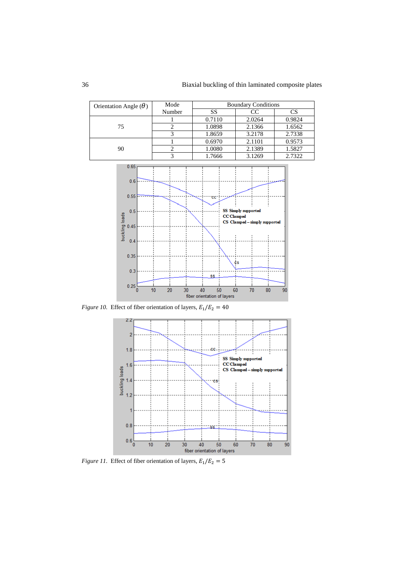

*Figure 10.* Effect of fiber orientation of layers,  $E_1/E_2 = 40$ 



*Figure 11.* Effect of fiber orientation of layers,  $E_1/E_2 = 5$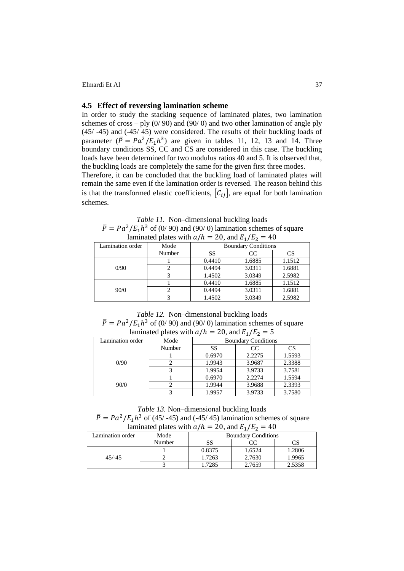#### **4.5 Effect of reversing lamination scheme**

In order to study the stacking sequence of laminated plates, two lamination schemes of cross – ply  $(0/90)$  and  $(90/0)$  and two other lamination of angle ply (45/ -45) and (-45/ 45) were considered. The results of their buckling loads of parameter  $(\overline{P} = Pa^2/E_1h^3)$  are given in tables 11, 12, 13 and 14. Three boundary conditions SS, CC and CS are considered in this case. The buckling loads have been determined for two modulus ratios 40 and 5. It is observed that, the buckling loads are completely the same for the given first three modes.

Therefore, it can be concluded that the buckling load of laminated plates will remain the same even if the lamination order is reversed. The reason behind this is that the transformed elastic coefficients,  $[C_{ij}]$ , are equal for both lamination schemes.

*Table 11.* Non–dimensional buckling loads  $\overline{P} = Pa^2/E_1h^3$  of (0/90) and (90/0) lamination schemes of square laminated plates with  $a/h = 20$ , and  $E_1/E_2 = 40$ 

|                  | $\mathbf{1}$ |                            |        |           |  |  |
|------------------|--------------|----------------------------|--------|-----------|--|--|
| Lamination order | Mode         | <b>Boundary Conditions</b> |        |           |  |  |
|                  | Number       | SS                         | CC     | <b>CS</b> |  |  |
|                  |              | 0.4410                     | 1.6885 | 1.1512    |  |  |
| 0/90             |              | 0.4494                     | 3.0311 | 1.6881    |  |  |
|                  |              | 1.4502                     | 3.0349 | 2.5982    |  |  |
|                  |              | 0.4410                     | 1.6885 | 1.1512    |  |  |
| 90/0             |              | 0.4494                     | 3.0311 | 1.6881    |  |  |
|                  |              | 1.4502                     | 3.0349 | 2.5982    |  |  |

*Table 12.* Non–dimensional buckling loads  $\overline{P} = Pa^2/E_1h^3$  of (0/90) and (90/0) lamination schemes of square

| $-0,$ where $-1/2$ |        |                            |        |        |  |  |  |  |
|--------------------|--------|----------------------------|--------|--------|--|--|--|--|
| Lamination order   | Mode   | <b>Boundary Conditions</b> |        |        |  |  |  |  |
|                    | Number | SS                         | CC     | CS     |  |  |  |  |
|                    |        | 0.6970                     | 2.2275 | 1.5593 |  |  |  |  |
| 0/90               |        | 1.9943                     | 3.9687 | 2.3388 |  |  |  |  |
|                    |        | 1.9954                     | 3.9733 | 3.7581 |  |  |  |  |
|                    |        | 0.6970                     | 2.2274 | 1.5594 |  |  |  |  |
| 90/0               |        | 1.9944                     | 3.9688 | 2.3393 |  |  |  |  |
|                    |        | 1.9957                     | 3.9733 | 3.7580 |  |  |  |  |

laminated plates with  $a/h = 20$ , and

*Table 13.* Non–dimensional buckling loads

 $\overline{P} = Pa^2/E_1h^3$  of (45/ -45) and (-45/ 45) lamination schemes of square laminated plates with  $a/h = 20$ , and  $E_1/E_2 = 40$ 

| Lamination order | Mode   | <b>Boundary Conditions</b> |        |        |  |  |
|------------------|--------|----------------------------|--------|--------|--|--|
|                  | Number | SS                         |        |        |  |  |
|                  |        | 0.8375                     | 1.6524 | 1.2806 |  |  |
| $45/ - 45$       |        | 1.7263                     | 2.7630 | 1.9965 |  |  |
|                  |        | 1.7285                     | 2.7659 | 2.5358 |  |  |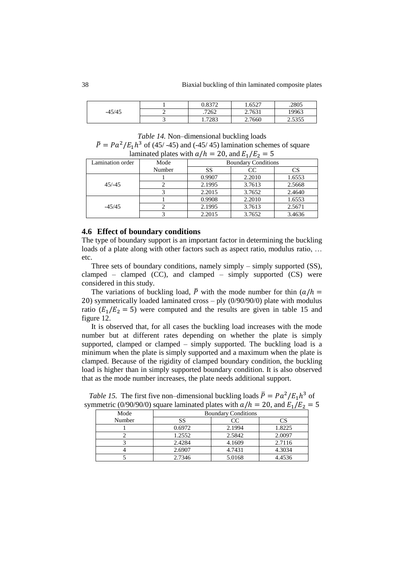| $-45/45$ | 0272<br>U.OJ             | 1.6527 | .2805          |
|----------|--------------------------|--------|----------------|
|          | .7262                    | 2.7631 | 19963          |
|          | .7283<br>$\cdot$ $\cdot$ | 2.7660 | 5255<br>درد. ۷ |

*Table 14.* Non–dimensional buckling loads  $\overline{P} = Pa^2/E_1h^3$  of (45/ -45) and (-45/ 45) lamination schemes of square

| laminated plates with $a/h = 20$ , and $E_1/E_2 = 5$ |  |
|------------------------------------------------------|--|
|------------------------------------------------------|--|

| Lamination order | Mode   | <b>Boundary Conditions</b> |        |        |  |  |  |
|------------------|--------|----------------------------|--------|--------|--|--|--|
|                  | Number | SS                         | CC     | CS     |  |  |  |
|                  |        | 0.9907                     | 2.2010 | 1.6553 |  |  |  |
| $45/-45$         |        | 2.1995                     | 3.7613 | 2.5668 |  |  |  |
|                  |        | 2.2015                     | 3.7652 | 2.4640 |  |  |  |
|                  |        | 0.9908                     | 2.2010 | 1.6553 |  |  |  |
| $-45/45$         |        | 2.1995                     | 3.7613 | 2.5671 |  |  |  |
|                  |        | 2.2015                     | 3.7652 | 3.4636 |  |  |  |

#### **4.6 Effect of boundary conditions**

The type of boundary support is an important factor in determining the buckling loads of a plate along with other factors such as aspect ratio, modulus ratio, ... etc.

Three sets of boundary conditions, namely simply – simply supported (SS), clamped – clamped  $(CC)$ , and clamped – simply supported  $(CS)$  were considered in this study.

The variations of buckling load,  $\overline{P}$  with the mode number for thin ( $a/h =$ 20) symmetrically loaded laminated cross  $-$  ply (0/90/90/0) plate with modulus ratio  $(E_1/E_2 = 5)$  were computed and the results are given in table 15 and figure 12.

It is observed that, for all cases the buckling load increases with the mode number but at different rates depending on whether the plate is simply supported, clamped or clamped – simply supported. The buckling load is a minimum when the plate is simply supported and a maximum when the plate is clamped. Because of the rigidity of clamped boundary condition, the buckling load is higher than in simply supported boundary condition. It is also observed that as the mode number increases, the plate needs additional support.

| $\frac{1}{2}$<br>$= 0, \text{ and } 0 \mid \textit{1} \mid \textit{2}$ |                            |        |        |  |  |  |  |  |
|------------------------------------------------------------------------|----------------------------|--------|--------|--|--|--|--|--|
| Mode                                                                   | <b>Boundary Conditions</b> |        |        |  |  |  |  |  |
| Number                                                                 | SS                         | CC     | СS     |  |  |  |  |  |
|                                                                        | 0.6972                     | 2.1994 | 1.8225 |  |  |  |  |  |
|                                                                        | 1.2552                     | 2.5842 | 2.0097 |  |  |  |  |  |
|                                                                        | 2.4284                     | 4.1609 | 2.7116 |  |  |  |  |  |
|                                                                        | 2.6907                     | 4.7431 | 4.3034 |  |  |  |  |  |
|                                                                        | 2.7346                     | 5.0168 | 4.4536 |  |  |  |  |  |

*Table 15.* The first five non-dimensional buckling loads  $\overline{P} = P a^2 / E_1 h^3$  of symmetric (0/90/90/0) square laminated plates with  $a/h = 20$ , and  $E_1/E_2 = 5$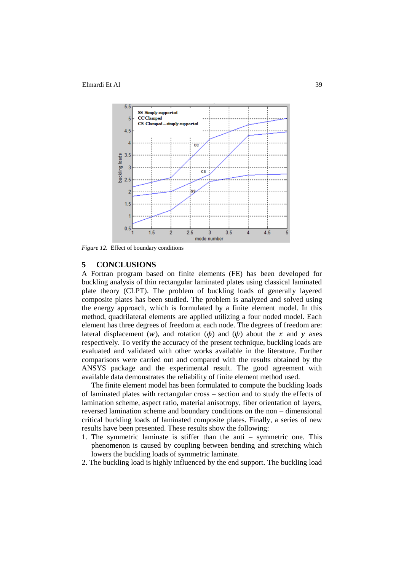

*Figure 12.* Effect of boundary conditions

### **5 CONCLUSIONS**

A Fortran program based on finite elements (FE) has been developed for buckling analysis of thin rectangular laminated plates using classical laminated plate theory (CLPT). The problem of buckling loads of generally layered composite plates has been studied. The problem is analyzed and solved using the energy approach, which is formulated by a finite element model. In this method, quadrilateral elements are applied utilizing a four noded model. Each element has three degrees of freedom at each node. The degrees of freedom are: lateral displacement (*w*), and rotation ( $\phi$ ) and ( $\psi$ ) about the x and y axes respectively. To verify the accuracy of the present technique, buckling loads are evaluated and validated with other works available in the literature. Further comparisons were carried out and compared with the results obtained by the ANSYS package and the experimental result. The good agreement with available data demonstrates the reliability of finite element method used.

The finite element model has been formulated to compute the buckling loads of laminated plates with rectangular cross – section and to study the effects of lamination scheme, aspect ratio, material anisotropy, fiber orientation of layers, reversed lamination scheme and boundary conditions on the non – dimensional critical buckling loads of laminated composite plates. Finally, a series of new results have been presented. These results show the following:

- 1. The symmetric laminate is stiffer than the anti symmetric one. This phenomenon is caused by coupling between bending and stretching which lowers the buckling loads of symmetric laminate.
- 2. The buckling load is highly influenced by the end support. The buckling load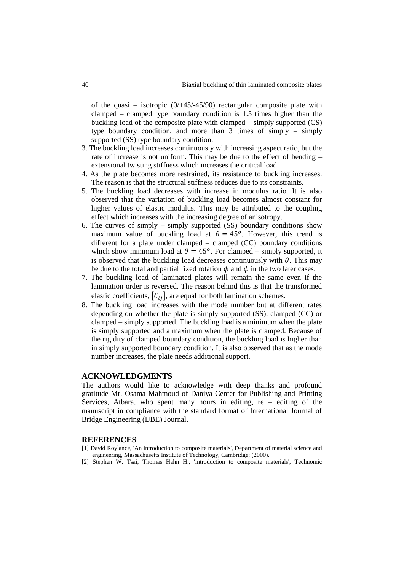of the quasi – isotropic  $(0/445/45/90)$  rectangular composite plate with clamped – clamped type boundary condition is 1.5 times higher than the buckling load of the composite plate with clamped – simply supported (CS) type boundary condition, and more than 3 times of simply – simply supported (SS) type boundary condition.

- 3. The buckling load increases continuously with increasing aspect ratio, but the rate of increase is not uniform. This may be due to the effect of bending – extensional twisting stiffness which increases the critical load.
- 4. As the plate becomes more restrained, its resistance to buckling increases. The reason is that the structural stiffness reduces due to its constraints.
- 5. The buckling load decreases with increase in modulus ratio. It is also observed that the variation of buckling load becomes almost constant for higher values of elastic modulus. This may be attributed to the coupling effect which increases with the increasing degree of anisotropy.
- 6. The curves of simply simply supported (SS) boundary conditions show maximum value of buckling load at  $\theta = 45^{\circ}$ . However, this trend is different for a plate under clamped – clamped (CC) boundary conditions which show minimum load at  $\theta = 45^{\circ}$ . For clamped – simply supported, it is observed that the buckling load decreases continuously with  $\theta$ . This may be due to the total and partial fixed rotation  $\phi$  and  $\psi$  in the two later cases.
- 7. The buckling load of laminated plates will remain the same even if the lamination order is reversed. The reason behind this is that the transformed elastic coefficients,  $[C_{ij}]$ , are equal for both lamination schemes.
- 8. The buckling load increases with the mode number but at different rates depending on whether the plate is simply supported (SS), clamped (CC) or clamped – simply supported. The buckling load is a minimum when the plate is simply supported and a maximum when the plate is clamped. Because of the rigidity of clamped boundary condition, the buckling load is higher than in simply supported boundary condition. It is also observed that as the mode number increases, the plate needs additional support.

### **ACKNOWLEDGMENTS**

The authors would like to acknowledge with deep thanks and profound gratitude Mr. Osama Mahmoud of Daniya Center for Publishing and Printing Services, Atbara, who spent many hours in editing,  $re -$  editing of the manuscript in compliance with the standard format of International Journal of Bridge Engineering (IJBE) Journal.

#### **REFERENCES**

- [1] David Roylance, 'An introduction to composite materials', Department of material science and engineering, Massachusetts Institute of Technology, Cambridge; (2000).
- [2] Stephen W. Tsai, Thomas Hahn H., 'introduction to composite materials', Technomic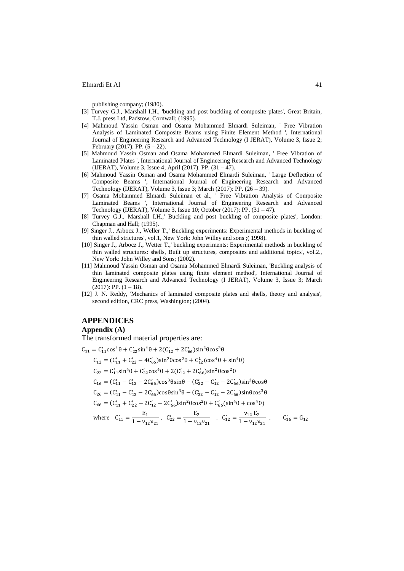publishing company; (1980).

- [3] Turvey G.J., Marshall I.H., 'buckling and post buckling of composite plates', Great Britain, T.J. press Ltd, Padstow, Cornwall; (1995).
- [4] Mahmoud Yassin Osman and Osama Mohammed Elmardi Suleiman, ' Free Vibration Analysis of Laminated Composite Beams using Finite Element Method ', International Journal of Engineering Research and Advanced Technology (I JERAT), Volume 3, Issue 2; February (2017): PP.  $(5 - 22)$ .
- [5] Mahmoud Yassin Osman and Osama Mohammed Elmardi Suleiman, ' Free Vibration of Laminated Plates ', International Journal of Engineering Research and Advanced Technology (IJERAT), Volume 3, Issue 4; April (2017): PP. (31 – 47).
- [6] Mahmoud Yassin Osman and Osama Mohammed Elmardi Suleiman, ' Large Deflection of Composite Beams ', International Journal of Engineering Research and Advanced Technology (IJERAT), Volume 3, Issue 3; March (2017): PP. (26 – 39).
- [7] Osama Mohammed Elmardi Suleiman et al., ' Free Vibration Analysis of Composite Laminated Beams ', International Journal of Engineering Research and Advanced Technology (IJERAT), Volume 3, Issue 10; October (2017): PP. (31 – 47).
- [8] Turvey G.J., Marshall I.H.,' Buckling and post buckling of composite plates', London: Chapman and Hall; (1995).
- [9] Singer J., Arbocz J., Weller T.,' Buckling experiments: Experimental methods in buckling of thin walled strictures', vol.1, New York: John Willey and sons ;( 1998).
- [10] Singer J., Arbocz J., Wetter T.,' buckling experiments: Experimental methods in buckling of thin walled structures: shells, Built up structures, composites and additional topics', vol.2., New York: John Willey and Sons; (2002).
- [11] Mahmoud Yassin Osman and Osama Mohammed Elmardi Suleiman, 'Buckling analysis of thin laminated composite plates using finite element method', International Journal of Engineering Research and Advanced Technology (I JERAT), Volume 3, Issue 3; March  $(2017)$ : PP.  $(1 - 18)$ .
- [12] J. N. Reddy, 'Mechanics of laminated composite plates and shells, theory and analysis', second edition, CRC press, Washington; (2004).

### **APPENDICES**

#### **Appendix (A)**

The transformed material properties are:

$$
C_{11} = C'_{11} \cos^{4} \theta + C'_{22} \sin^{4} \theta + 2(C'_{12} + 2C'_{66}) \sin^{2} \theta \cos^{2} \theta
$$
  
\n
$$
C_{12} = (C'_{11} + C'_{22} - 4C'_{66}) \sin^{2} \theta \cos^{2} \theta + C^{1}_{12} (\cos^{4} \theta + \sin^{4} \theta)
$$
  
\n
$$
C_{22} = C'_{11} \sin^{4} \theta + C'_{22} \cos^{4} \theta + 2(C'_{12} + 2C'_{66}) \sin^{2} \theta \cos^{2} \theta
$$
  
\n
$$
C_{16} = (C'_{11} - C'_{12} - 2C'_{66}) \cos^{3} \theta \sin \theta - (C'_{22} - C'_{12} - 2C'_{66}) \sin^{3} \theta \cos \theta
$$
  
\n
$$
C_{26} = (C'_{11} - C'_{12} - 2C'_{66}) \cos \theta \sin^{3} \theta - (C'_{22} - C'_{12} - 2C'_{66}) \sin \theta \cos^{3} \theta
$$
  
\n
$$
C_{66} = (C'_{11} + C'_{22} - 2C'_{12} - 2C'_{66}) \sin^{2} \theta \cos^{2} \theta + C'_{66} (\sin^{4} \theta + \cos^{4} \theta)
$$
  
\nwhere  $C'_{11} = \frac{E_{1}}{1 - V_{12}V_{21}}$ ,  $C'_{22} = \frac{E_{2}}{1 - V_{12}V_{21}}$ ,  $C'_{12} = \frac{V_{12} E_{2}}{1 - V_{12}V_{21}}$ ,  $C'_{16} = G_{12}$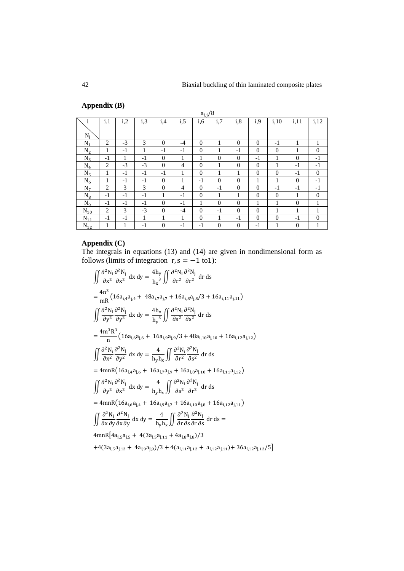# **Appendix (B)**

|                |                |      |      |                |      | $a_{i,j}/8$    |                |                |                |                |                |              |
|----------------|----------------|------|------|----------------|------|----------------|----------------|----------------|----------------|----------------|----------------|--------------|
| 1              | i.1            | i,2  | i,3  | i,4            | i, 5 | i, 6           | i,7            | i, 8           | i,9            | i, 10          | i, 11          | i, 12        |
| $N_i$          |                |      |      |                |      |                |                |                |                |                |                |              |
| $N_1$          | 2              | $-3$ | 3    | $\Omega$       | $-4$ | $\overline{0}$ | 1              | $\theta$       | $\theta$       | $-1$           | 1              |              |
| $N_2$          | 1              | $-1$ | 1    | $-1$           | $-1$ | $\overline{0}$ | 1              | $-1$           | $\overline{0}$ | $\overline{0}$ | 1              | $\mathbf{0}$ |
| $N_3$          | $-1$           | 1    | $-1$ | $\Omega$       | 1    | 1              | $\overline{0}$ | $\theta$       | $-1$           | $\mathbf{1}$   | $\overline{0}$ | $-1$         |
| $N_4$          | 2              | $-3$ | $-3$ | $\Omega$       | 4    | $\overline{0}$ | 1              | $\theta$       | $\overline{0}$ | 1              | $-1$           | $-1$         |
| N <sub>5</sub> | 1              | $-1$ | $-1$ | $-1$           | 1    | $\mathbf{0}$   | 1              | 1              | $\overline{0}$ | $\overline{0}$ | $-1$           | $\theta$     |
| $N_6$          | 1              | $-1$ | $-1$ | $\theta$       | 1    | $-1$           | $\overline{0}$ | $\overline{0}$ | 1              | 1              | $\overline{0}$ | $-1$         |
| N <sub>7</sub> | 2              | 3    | 3    | $\overline{0}$ | 4    | $\mathbf{0}$   | $-1$           | $\theta$       | $\theta$       | $-1$           | $-1$           | $-1$         |
| $N_8$          | $-1$           | $-1$ | $-1$ | 1              | $-1$ | $\overline{0}$ | 1              | 1              | $\theta$       | $\overline{0}$ | 1              | $\theta$     |
| $N_{q}$        | $-1$           | $-1$ | $-1$ | $\Omega$       | $-1$ | 1              | $\overline{0}$ | $\theta$       | 1              | 1              | $\overline{0}$ | 1            |
| $N_{10}$       | $\overline{c}$ | 3    | $-3$ | $\Omega$       | $-4$ | $\overline{0}$ | $-1$           | $\theta$       | $\theta$       | 1              | 1              |              |
| $N_{11}$       | $-1$           | $-1$ | 1    | 1              | 1    | $\overline{0}$ | 1              | $-1$           | $\theta$       | $\overline{0}$ | $-1$           | $\theta$     |
| $N_{12}$       | 1              | 1    | $-1$ | $\Omega$       | $-1$ | $-1$           | $\overline{0}$ | $\overline{0}$ | $-1$           | 1              | $\overline{0}$ | 1            |

# **Appendix (C)**

The integrals in equations (13) and (14) are given in nondimensional form as follows (limits of integration  $r, s = -1$  to 1):

$$
\iint \frac{\partial^2 N_i}{\partial x^2} \frac{\partial^2 N_j}{\partial x^2} dx dy = \frac{4h_y}{h_x^3} \iint \frac{\partial^2 N_i}{\partial r^2} \frac{\partial^2 N_j}{\partial r^2} dr ds
$$
  
\n
$$
= \frac{4n^3}{mR} \left( 16a_{i,4}a_{j,4} + 48a_{i,7}a_{j,7} + 16a_{i,8}a_{j,8}/3 + 16a_{i,11}a_{j,11} \right)
$$
  
\n
$$
\iint \frac{\partial^2 N_i}{\partial y^2} \frac{\partial^2 N_j}{\partial y^2} dx dy = \frac{4h_x}{h_y^3} \iint \frac{\partial^2 N_i}{\partial s^2} \frac{\partial^2 N_j}{\partial s^2} dr ds
$$
  
\n
$$
= \frac{4m^3R^3}{n} \left( 16a_{i,6}a_{j,6} + 16a_{i,9}a_{j,9}/3 + 48a_{i,10}a_{j,10} + 16a_{i,12}a_{j,12} \right)
$$
  
\n
$$
\iint \frac{\partial^2 N_i}{\partial x^2} \frac{\partial^2 N_j}{\partial y^2} dx dy = \frac{4}{h_y h_x} \iint \frac{\partial^2 N_i}{\partial r^2} \frac{\partial^2 N_j}{\partial s^2} dr ds
$$
  
\n
$$
= 4mnR \left( 16a_{i,4}a_{j,6} + 16a_{i,7}a_{j,9} + 16a_{i,8}a_{j,10} + 16a_{i,11}a_{j,12} \right)
$$
  
\n
$$
\iint \frac{\partial^2 N_i}{\partial y^2} \frac{\partial^2 N_j}{\partial x^2} dx dy = \frac{4}{h_y h_x} \iint \frac{\partial^2 N_i}{\partial s^2} \frac{\partial^2 N_j}{\partial r^2} dr ds
$$
  
\n
$$
= 4mnR \left( 16a_{i,6}a_{j,4} + 16a_{i,9}a_{j,7} + 16a_{i,10}a_{j,8} + 16a_{i,12}a_{j,11} \right)
$$
  
\n
$$
\iint \frac{\partial^2 N_i}{\partial x \partial y
$$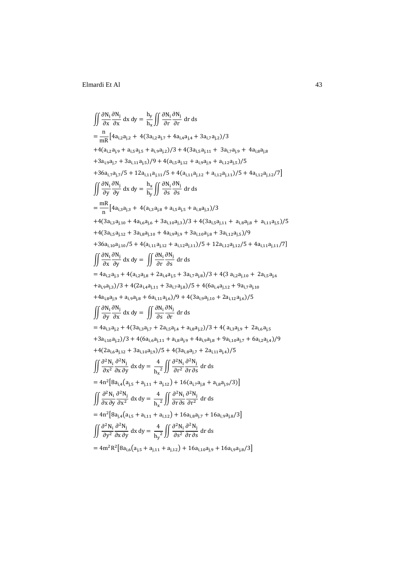$$
\iint \frac{\partial N_i}{\partial x} \frac{\partial N_j}{\partial x} dx dy = \frac{h_y}{h_x} \iint \frac{\partial N_i}{\partial r} \frac{\partial N_j}{\partial r} dr ds
$$
\n
$$
= \frac{n}{mR} [4a_{i,2}a_{j,2} + 4(3a_{i,2}a_{j,7} + 4a_{i,4}a_{j,4} + 3a_{i,7}a_{j,2})/3
$$
\n
$$
+ 4(a_{i,2}a_{j,9} + a_{i,5}a_{j,5} + a_{i,9}a_{j,2})/3 + 4(3a_{i,5}a_{j,11} + 3a_{i,7}a_{j,9} + 4a_{i,8}a_{j,8}
$$
\n
$$
+ 3a_{i,9}a_{j,7} + 3a_{i,11}a_{j,5})/9 + 4(a_{i,5}a_{j,12} + a_{i,9}a_{j,9} + a_{i,12}a_{j,5})/5
$$
\n
$$
+ 36a_{i,7}a_{j,7}/5 + 12a_{i,11}a_{j,11}/5 + 4a_{i,11}a_{j,12} + a_{i,12}a_{j,11})/5 + 4a_{i,12}a_{j,12}/7]
$$
\n
$$
\iint \frac{\partial N_i}{\partial y} \frac{\partial N_j}{\partial y} dx dy = \frac{h_x}{h_y} \iint \frac{\partial N_i}{\partial s} \frac{\partial N_j}{\partial s} dr ds
$$
\n
$$
= \frac{mR}{n} [4a_{i,3}a_{j,3} + 4(a_{i,3}a_{j,8} + a_{i,5}a_{j,5} + a_{i,8}a_{j,3})/3
$$
\n
$$
+ 4(3a_{i,3}a_{j,10} + 4a_{i,6}a_{j,6} + 3a_{i,10}a_{j,3})/3 + 4(3a_{i,5}a_{j,11} + a_{i,8}a_{j,8} + a_{i,11}a_{j,5})/5
$$
\n
$$
+ 4(3a_{i,3}a_{j,10} + 5 + 4a_{i,11}a_{j,12} + a_{i,12}a_{j,11})/5 + 12a_{i
$$